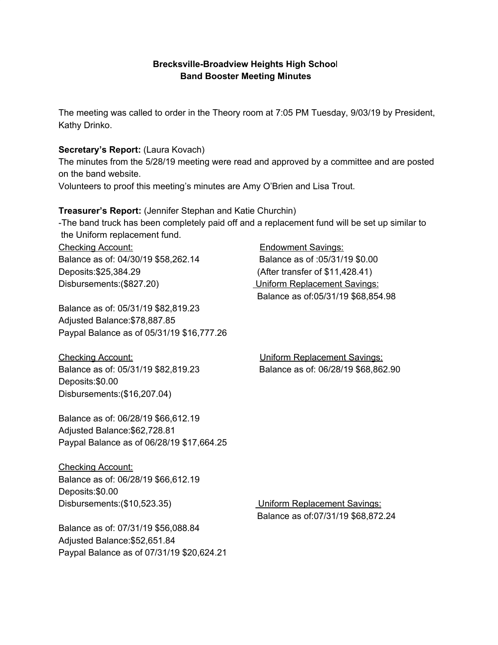### **Brecksville-Broadview Heights High Schoo**l **Band Booster Meeting Minutes**

The meeting was called to order in the Theory room at 7:05 PM Tuesday, 9/03/19 by President, Kathy Drinko.

### **Secretary's Report:** (Laura Kovach)

The minutes from the 5/28/19 meeting were read and approved by a committee and are posted on the band website.

Volunteers to proof this meeting's minutes are Amy O'Brien and Lisa Trout.

**Treasurer's Report:** (Jennifer Stephan and Katie Churchin)

-The band truck has been completely paid off and a replacement fund will be set up similar to the Uniform replacement fund.

Checking Account: Endowment Savings: Balance as of: 04/30/19 \$58,262.14 Balance as of :05/31/19 \$0.00 Deposits:\$25,384.29 (After transfer of \$11,428.41) Disbursements:(\$827.20) Uniform Replacement Savings:

Balance as of: 05/31/19 \$82,819.23 Adjusted Balance:\$78,887.85 Paypal Balance as of 05/31/19 \$16,777.26

Checking Account: Uniform Replacement Savings: Deposits:\$0.00 Disbursements:(\$16,207.04)

Balance as of: 06/28/19 \$66,612.19 Adjusted Balance:\$62,728.81 Paypal Balance as of 06/28/19 \$17,664.25

Checking Account: Balance as of: 06/28/19 \$66,612.19 Deposits:\$0.00 Disbursements:(\$10,523.35) Uniform Replacement Savings:

Balance as of: 07/31/19 \$56,088.84 Adjusted Balance:\$52,651.84 Paypal Balance as of 07/31/19 \$20,624.21 Balance as of:05/31/19 \$68,854.98

Balance as of: 05/31/19 \$82,819.23 Balance as of: 06/28/19 \$68,862.90

Balance as of:07/31/19 \$68,872.24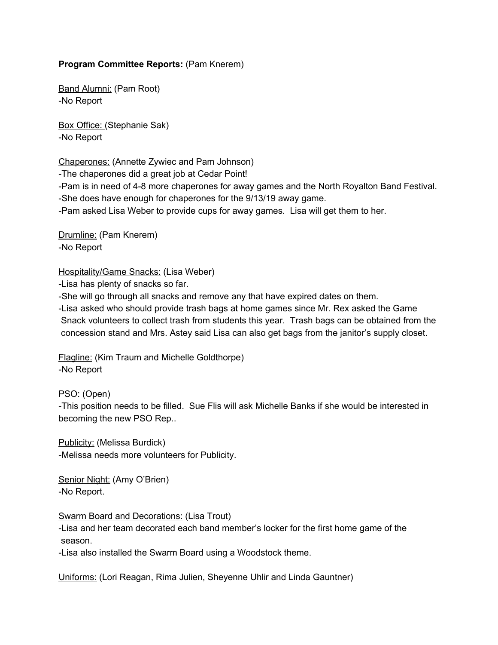#### **Program Committee Reports:** (Pam Knerem)

Band Alumni: (Pam Root) -No Report

Box Office: (Stephanie Sak) -No Report

Chaperones: (Annette Zywiec and Pam Johnson)

-The chaperones did a great job at Cedar Point!

-Pam is in need of 4-8 more chaperones for away games and the North Royalton Band Festival. -She does have enough for chaperones for the 9/13/19 away game.

-Pam asked Lisa Weber to provide cups for away games. Lisa will get them to her.

Drumline: (Pam Knerem) -No Report

Hospitality/Game Snacks: (Lisa Weber)

-Lisa has plenty of snacks so far.

-She will go through all snacks and remove any that have expired dates on them.

-Lisa asked who should provide trash bags at home games since Mr. Rex asked the Game Snack volunteers to collect trash from students this year. Trash bags can be obtained from the concession stand and Mrs. Astey said Lisa can also get bags from the janitor's supply closet.

Flagline: (Kim Traum and Michelle Goldthorpe) -No Report

PSO: (Open)

-This position needs to be filled. Sue Flis will ask Michelle Banks if she would be interested in becoming the new PSO Rep..

Publicity: (Melissa Burdick) -Melissa needs more volunteers for Publicity.

Senior Night: (Amy O'Brien) -No Report.

Swarm Board and Decorations: (Lisa Trout)

-Lisa and her team decorated each band member's locker for the first home game of the season.

-Lisa also installed the Swarm Board using a Woodstock theme.

Uniforms: (Lori Reagan, Rima Julien, Sheyenne Uhlir and Linda Gauntner)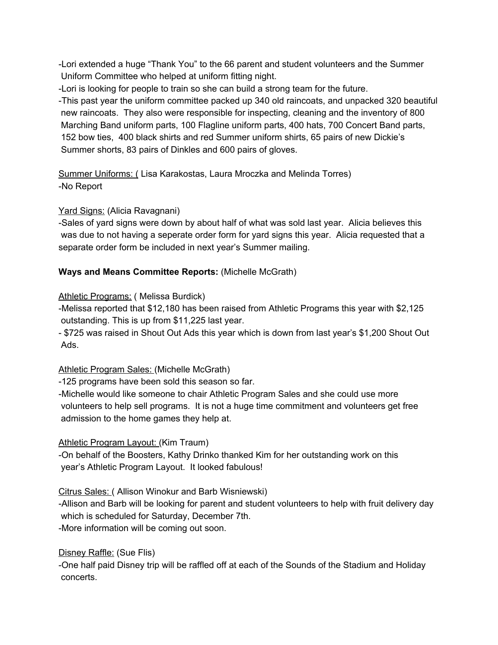-Lori extended a huge "Thank You" to the 66 parent and student volunteers and the Summer Uniform Committee who helped at uniform fitting night.

-Lori is looking for people to train so she can build a strong team for the future.

-This past year the uniform committee packed up 340 old raincoats, and unpacked 320 beautiful new raincoats. They also were responsible for inspecting, cleaning and the inventory of 800 Marching Band uniform parts, 100 Flagline uniform parts, 400 hats, 700 Concert Band parts, 152 bow ties, 400 black shirts and red Summer uniform shirts, 65 pairs of new Dickie's Summer shorts, 83 pairs of Dinkles and 600 pairs of gloves.

Summer Uniforms: ( Lisa Karakostas, Laura Mroczka and Melinda Torres) -No Report

## Yard Signs: (Alicia Ravagnani)

-Sales of yard signs were down by about half of what was sold last year. Alicia believes this was due to not having a seperate order form for yard signs this year. Alicia requested that a separate order form be included in next year's Summer mailing.

## **Ways and Means Committee Reports:** (Michelle McGrath)

## Athletic Programs: ( Melissa Burdick)

-Melissa reported that \$12,180 has been raised from Athletic Programs this year with \$2,125 outstanding. This is up from \$11,225 last year.

- \$725 was raised in Shout Out Ads this year which is down from last year's \$1,200 Shout Out Ads.

# Athletic Program Sales: (Michelle McGrath)

-125 programs have been sold this season so far.

-Michelle would like someone to chair Athletic Program Sales and she could use more volunteers to help sell programs. It is not a huge time commitment and volunteers get free admission to the home games they help at.

# Athletic Program Layout: (Kim Traum)

-On behalf of the Boosters, Kathy Drinko thanked Kim for her outstanding work on this year's Athletic Program Layout. It looked fabulous!

Citrus Sales: ( Allison Winokur and Barb Wisniewski)

-Allison and Barb will be looking for parent and student volunteers to help with fruit delivery day which is scheduled for Saturday, December 7th.

-More information will be coming out soon.

# Disney Raffle: (Sue Flis)

-One half paid Disney trip will be raffled off at each of the Sounds of the Stadium and Holiday concerts.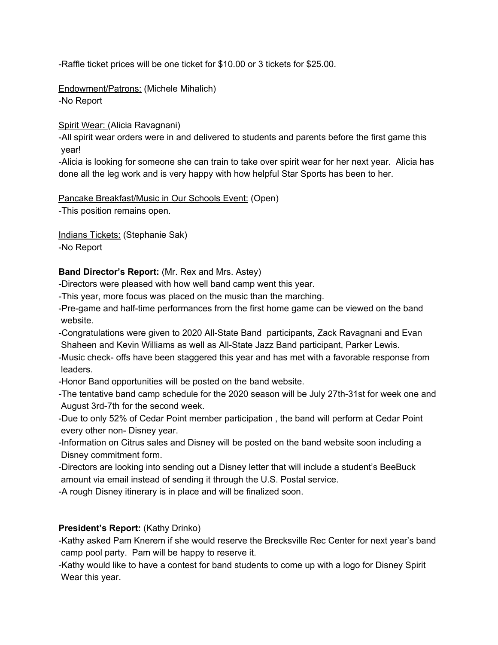-Raffle ticket prices will be one ticket for \$10.00 or 3 tickets for \$25.00.

Endowment/Patrons: (Michele Mihalich) -No Report

Spirit Wear: (Alicia Ravagnani)

-All spirit wear orders were in and delivered to students and parents before the first game this year!

-Alicia is looking for someone she can train to take over spirit wear for her next year. Alicia has done all the leg work and is very happy with how helpful Star Sports has been to her.

Pancake Breakfast/Music in Our Schools Event: (Open)

-This position remains open.

Indians Tickets: (Stephanie Sak) -No Report

#### **Band Director's Report:** (Mr. Rex and Mrs. Astey)

-Directors were pleased with how well band camp went this year.

-This year, more focus was placed on the music than the marching.

-Pre-game and half-time performances from the first home game can be viewed on the band website.

-Congratulations were given to 2020 All-State Band participants, Zack Ravagnani and Evan Shaheen and Kevin Williams as well as All-State Jazz Band participant, Parker Lewis.

-Music check- offs have been staggered this year and has met with a favorable response from leaders.

-Honor Band opportunities will be posted on the band website.

-The tentative band camp schedule for the 2020 season will be July 27th-31st for week one and August 3rd-7th for the second week.

-Due to only 52% of Cedar Point member participation , the band will perform at Cedar Point every other non- Disney year.

-Information on Citrus sales and Disney will be posted on the band website soon including a Disney commitment form.

-Directors are looking into sending out a Disney letter that will include a student's BeeBuck amount via email instead of sending it through the U.S. Postal service.

-A rough Disney itinerary is in place and will be finalized soon.

#### **President's Report:** (Kathy Drinko)

-Kathy asked Pam Knerem if she would reserve the Brecksville Rec Center for next year's band camp pool party. Pam will be happy to reserve it.

-Kathy would like to have a contest for band students to come up with a logo for Disney Spirit Wear this year.